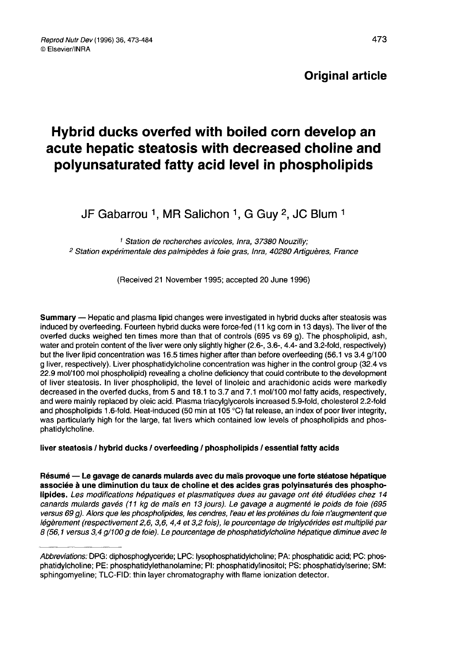# Original article

# Hybrid ducks overfed with boiled corn develop an acute hepatic steatosis with decreased choline and polyunsaturated fatty acid level in phospholipids

JF Gabarrou <sup>1</sup>, MR Salichon <sup>1</sup>, G Guy <sup>2</sup>, JC Blum <sup>1</sup>

<sup>1</sup> Station de recherches avicoles, Inra, 37380 Nouzilly; <sup>2</sup> Station expérimentale des palmipèdes à foie gras, Inra, 40280 Artiguères, France

(Received 21 November 1995; accepted 20 June 1996)

Summary ― Hepatic and plasma lipid changes were investigated in hybrid ducks after steatosis was induced by overfeeding. Fourteen hybrid ducks were force-fed (11 kg corn in 13 days). The liver of the overfed ducks weighed ten times more than that of controls (695 vs 69 g). The phospholipid, ash, water and protein content of the liver were only slightly higher (2.6-, 3.6-, 4.4- and 3.2-fold, respectively) but the liver lipid concentration was 16.5 times higher after than before overfeeding (56.1 vs 3.4 g/100 g liver, respectively). Liver phosphatidylcholine concentration was higher in the control group (32.4 vs 22.9 mol/100 mol phospholipid) revealing a choline deficiency that could contribute to the development of liver steatosis. In liver phospholipid, the level of linoleic and arachidonic acids were markedly decreased in the overfed ducks, from 5 and 18.1 to 3.7 and 7.1 mol/100 mol fatty acids, respectively, and were mainly replaced by oleic acid. Plasma triacylglycerols increased 5.9-fold, cholesterol 2.2-fold and phospholipids 1.6-fold. Heat-induced (50 min at 105 °C) fat release, an index of poor liver integrity, was particularly high for the large, fat livers which contained low levels of phospholipids and phosphatidylcholine.

# liver steatosis / hybrid ducks / overfeeding / phospholipids / essential fatty acids

Résumé ― Le gavage de canards mulards avec du maïs provoque une forte stéatose hépatique associée à une diminution du taux de choline et des acides gras polyinsaturés des phospholipides. Les modifications hépatiques et plasmatiques dues au gavage ont été étudiées chez 14 canards mulards gavés (11 kg de maïs en 13 jours). Le gavage a augmenté le poids de foie (695 versus 69 g). Alors que les phospholipides, les cendres, l'eau et les protéines du foie n'augmentent que légèrement (respectivement 2,6, 3,6, 4,4 et 3,2 fois), le pourcentage de triglycérides est multiplié par 8 (56,1 versus 3,4 q/100 g de foie). Le pourcentage de phosphatidylcholine hépatique diminue avec le

Abbreviations: DPG: diphosphoglyceride; LPC: lysophosphatidylcholine; PA: phosphatidic acid; PC: phosphatidylcholine; PE: phosphatidylethanolamine; PI: phosphatidylinositol; PS: phosphatidylserine; SM: sphingomyeline; TLC-FID: thin layer chromatography with flame ionization detector.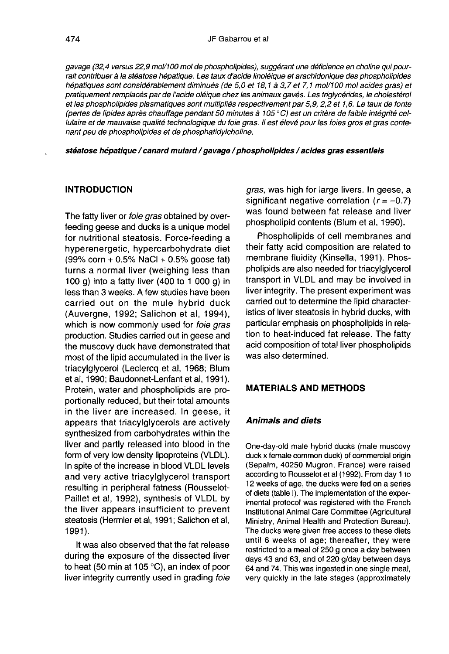JF Gabarrou et al<br>gavage (32,4 versus 22,9 mol/100 mol de phospholipides), suggérant une déficience en choline qui pourrait contribuer à la stéatose hépatique. Les taux d'acide linoléique et arachidonique des phospholipides hépatiques sont considérablement diminués (de 5,0 et 18,1 à 3,7 et 7,1 mol/100 mol acides gras) et pratiquement remplacés par de l'acide oléique chez les animaux gavés. Les triglycérides, le cholestérol et les phospholipides plasmatiques sont multipliés respectivement par5,9, 2,2 et 1,6. Le taux de fonte (pertes de lipides après chauffage pendant 50 minutes à 105 ° C) est un critère de faible intégrité cellulaire et de mauvaise qualité technologique du foie gras. Il est élevé pour les foies gros et gras contenant peu de phospholipides et de phosphatidylcholine.

stéatose hépatique / canard mulard / gavage / phospholipides / acides gras essentiels

#### INTRODUCTION

The fatty liver or *foie gras* obtained by overfeeding geese and ducks is a unique model for nutritional steatosis. Force-feeding a hyperenergetic, hypercarbohydrate diet  $(99\% \text{ corn} + 0.5\% \text{ NaCl} + 0.5\% \text{ goose fat})$ turns a normal liver (weighing less than 100 g) into a fatty liver (400 to 1 000 g) in less than 3 weeks. A few studies have been carried out on the mule hybrid duck (Auvergne, 1992; Salichon et al, 1994), which is now commonly used for *foie gras* production. Studies carried out in geese and the muscovy duck have demonstrated that most of the lipid accumulated in the liver is triacylglycerol (Leclercq et al, 1968; Blum et al, 1990; Baudonnet-Lenfant et al, 1991). Protein, water and phospholipids are proportionally reduced, but their total amounts in the liver are increased. In geese, it appears that triacylglycerols are actively synthesized from carbohydrates within the liver and partly released into blood in the form of very low density lipoproteins (VLDL). In spite of the increase in blood VLDL levels and very active triacylglycerol transport resulting in peripheral fatness (Rousselot-Paillet et al, 1992), synthesis of VLDL by the liver appears insufficient to prevent steatosis (Hermier et al, 1991; Salichon et al, 1991).

It was also observed that the fat release during the exposure of the dissected liver to heat (50 min at 105 °C), an index of poor liver integrity currently used in grading foie gras, was high for large livers. In geese, a significant negative correlation  $(r=-0.7)$ was found between fat release and liver phospholipid contents (Blum et al, 1990).

Phospholipids of cell membranes and their fatty acid composition are related to membrane fluidity (Kinsella, 1991). Phospholipids are also needed for triacylglycerol transport in VLDL and may be involved in liver integrity. The present experiment was carried out to determine the lipid characteristics of liver steatosis in hybrid ducks, with particular emphasis on phospholipids in relation to heat-induced fat release. The fatty acid composition of total liver phospholipids was also determined.

# MATERIALS AND METHODS

# Animals and diets

One-day-old male hybrid ducks (male muscovy duck x female common duck) of commercial origin (Sepalm, 40250 Mugron, France) were raised according to Rousselot et al (1992). From day 1 to 12 weeks of age, the ducks were fed on a series of diets (table I). The implementation of the experimental protocol was registered with the French Institutional Animal Care Committee (Agricultural Ministry, Animal Health and Protection Bureau). The ducks were given free access to these diets until 6 weeks of age; thereafter, they were restricted to a meal of 250 g once a day between days 43 and 63, and of 220 g/day between days 64 and 74. This was ingested in one single meal, very quickly in the late stages (approximately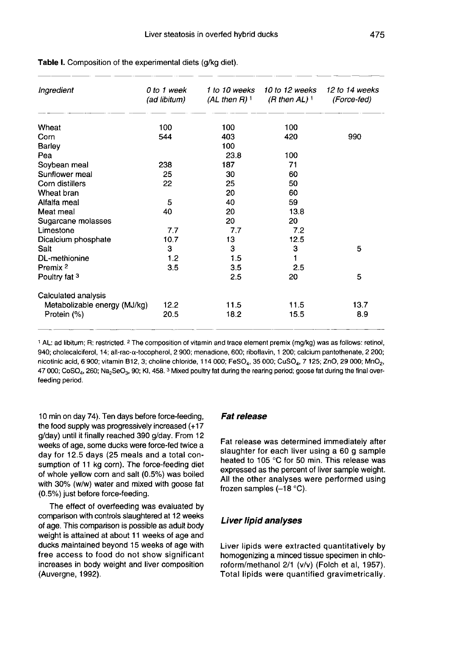| Ingredient                   | 0 to 1 week<br>(ad libitum) | (AL then R) <sup>1</sup> | 1 to 10 weeks 10 to 12 weeks<br>(R then AL) $^1$ | 12 to 14 weeks<br>(Force-fed) |
|------------------------------|-----------------------------|--------------------------|--------------------------------------------------|-------------------------------|
| Wheat                        | 100                         | 100                      | 100                                              |                               |
| Corn                         | 544                         | 403                      | 420                                              | 990                           |
| Barley                       |                             | 100                      |                                                  |                               |
| Pea                          |                             | 23.8                     | 100                                              |                               |
| Soybean meal                 | 238                         | 187                      | 71                                               |                               |
| Sunflower meal               | 25                          | 30                       | 60                                               |                               |
| Corn distillers              | 22                          | 25                       | 50                                               |                               |
| Wheat bran                   |                             | 20                       | 60                                               |                               |
| Alfalfa meal                 | 5                           | 40                       | 59                                               |                               |
| Meat meal                    | 40                          | 20                       | 13.8                                             |                               |
| Sugarcane molasses           |                             | 20                       | 20                                               |                               |
| Limestone                    | 7.7                         | 7.7                      | 7.2                                              |                               |
| Dicalcium phosphate          | 10.7                        | 13                       | 12.5                                             |                               |
| Salt                         | з                           | 3                        | 3                                                | 5                             |
| DL-methionine                | 1.2                         | 1.5                      | 1                                                |                               |
| Premix <sup>2</sup>          | 3.5                         | 3.5                      | 2.5                                              |                               |
| Poultry fat 3                |                             | 2.5                      | 20                                               | 5                             |
| Calculated analysis          |                             |                          |                                                  |                               |
| Metabolizable energy (MJ/kg) | 12.2                        | 11.5                     | 11.5                                             | 13.7                          |
| Protein (%)                  | 20.5                        | 18.2                     | 15.5                                             | 8.9                           |

Table I. Composition of the experimental diets (q/kq diet).

<sup>1</sup> AL: ad libitum; R: restricted. <sup>2</sup> The composition of vitamin and trace element premix (mg/kg) was as follows: retinol, 940; cholecalciferol, 14; all-rac-a-tocopherol, 2 900; menadione, 600; riboflavin, 1 200; calcium pantothenate, 2 200; nicotinic acid, 6 900; vitamin B12, 3; choline chloride, 114 000; FeSO4, 35 000; CuSO4, 7 125; ZnO, 29 000; MnO<sub>2</sub>, 47 000; CoSO<sub>4</sub>, 260; Na<sub>2</sub>SeO<sub>3</sub>, 90; KI, 458.<sup>3</sup> Mixed poultry fat during the rearing period; goose fat during the final overfeeding period.

10 min on day 74). Ten days before force-feeding, the food supply was progressively increased (+17 g/day) until it finally reached 390 g/day. From 12 weeks of age, some ducks were force-fed twice a day for 12.5 days (25 meals and a total consumption of 11 kg corn). The force-feeding diet of whole yellow corn and salt (0.5%) was boiled with 30% (w/w) water and mixed with goose fat (0.5%) just before force-feeding.

The effect of overfeeding was evaluated by comparison with controls slaughtered at 12 weeks of age. This comparison is possible as adult body weight is attained at about 11 weeks of age and ducks maintained beyond 15 weeks of age with free access to food do not show significant increases in body weight and liver composition (Auvergne, 1992).

#### Fat release

Fat release was determined immediately after slaughter for each liver using a 60 g sample heated to 105 °C for 50 min. This release was expressed as the percent of liver sample weight. All the other analyses were performed using frozen samples  $(-18 °C)$ .

#### Liver lipid analyses

Liver lipids were extracted quantitatively by homogenizing a minced tissue specimen in chloroform/methanol 2/1 (v/v) (Folch et ai, 1957). Total lipids were quantified gravimetrically.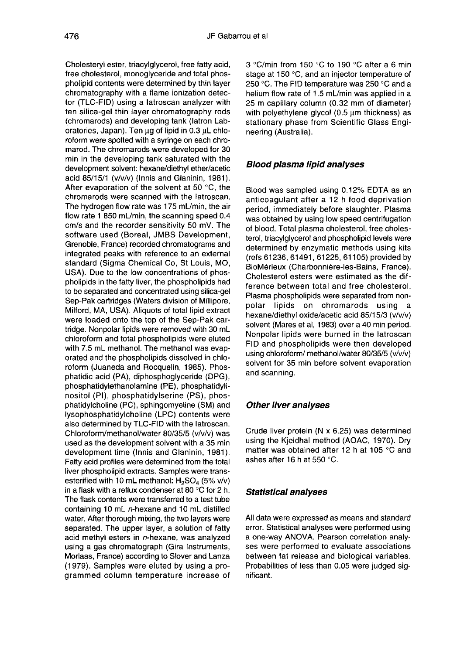Cholesteryl ester, triacylglycerol, free fatty acid, free cholesterol, monoglyceride and total phospholipid contents were determined by thin layer chromatography with a flame ionization detector (TLC-FID) using a latroscan analyzer with ten silica-gel thin layer chromatography rods (chromarods) and developing tank (latron Laboratories, Japan). Ten ug of lipid in 0.3 uL chloroform were spotted with a syringe on each chromarod. The chromarods were developed for 30 min in the developing tank saturated with the development solvent: hexane/diethyl ether/acetic acid 85/15/1 ( $v/v/v$ ) (Innis and Glaninin, 1981). After evaporation of the solvent at 50 °C, the chromarods were scanned with the latroscan. The hydrogen flow rate was 175 mL/min, the air flow rate 1 850 mL/min, the scanning speed 0.4 cm/s and the recorder sensitivity 50 mV. The software used (Boreal, JMBS Development, Grenoble, France) recorded chromatograms and integrated peaks with reference to an external standard (Sigma Chemical Co, St Louis, MO, USA). Due to the low concentrations of phospholipids in the fatty liver, the phospholipids had to be separated and concentrated using silica-gel Sep-Pak cartridges (Waters division of Millipore, Milford, MA, USA). Aliquots of total lipid extract were loaded onto the top of the Sep-Pak cartridge. Nonpolar lipids were removed with 30 mL chloroform and total phospholipids were eluted with 7.5 mL methanol. The methanol was evaporated and the phospholipids dissolved in chloroform (Juaneda and Rocquelin, 1985). Phosphatidic acid (PA), diphosphoglyceride (DPG), phosphatidylethanolamine (PE), phosphatidylinositol (PI), phosphatidylserine (PS), phosphatidylcholine (PC), sphingomyeline (SM) and lysophosphatidylcholine (LPC) contents were also determined by TLC-FID with the latroscan. Chloroform/methanol/water 80/35/5 (v/v/v) was used as the development solvent with a 35 min development time (Innis and Glaninin, 1981). Fatty acid profiles were determined from the total liver phospholipid extracts. Samples were trans-Fatty acid profiles were determined from the total<br>liver phospholipid extracts. Samples were trans-<br>esterified with 10 mL methanol:  $H_2SQ_4(5\% v/v)$ <br>in a flask with a reflux condenser at 80 °C for 2 h. in a flask with a reflux condenser at 80 °C for 2 h. The flask contents were transferred to a test tube containing 10 mL n-hexane and 10 mL distilled water. After thorough mixing, the two layers were separated. The upper layer, a solution of fatty acid methyl esters in n-hexane, was analyzed using a gas chromatograph (Gira Instruments, Morlaas, France) according to Slover and Lanza (1979). Samples were eluted by using a programmed column temperature increase of

3 'C/min from 150 °C to 190 °C after a 6 min stage at 150 °C, and an injector temperature of 250 °C. The FID temperature was 250 °C and a helium flow rate of 1.5 mL/min was applied in a 25 m capillary column (0.32 mm of diameter) with polyethylene glycol  $(0.5 \mu m)$  thickness) as stationary phase from Scientific Glass Engineering (Australia).

#### Blood plasma lipid analyses

Blood was sampled using 0.12% EDTA as an anticoagulant after a 12 h food deprivation period, immediately before slaughter. Plasma was obtained by using low speed centrifugation of blood. Total plasma cholesterol, free cholesterol, triacylglycerol and phospholipid levels were determined by enzymatic methods using kits (refs 61236, 61491, 61225, 61105) provided by BioMérieux (Charbonnière-les-Bains, France). Cholesterol esters were estimated as the difference between total and free cholesterol. Plasma phospholipids were separated from nonpolar lipids on chromarods using a hexane/diethyl oxide/acetic acid 85/15/3 (v/v/v) solvent (Mares et al, 1983) over a 40 min period. Nonpolar lipids were burned in the latroscan FID and phospholipids were then developed using chloroform/ methanol/water 80/35/5 (v/v/v) solvent for 35 min before solvent evaporation and scanning.

#### Other liver analyses

Crude liver protein (N x 6.25) was determined using the Kjeldhal method (AOAC, 1970). Dry matter was obtained after 12 h at 105 °C and ashes after 16 h at 550 °C.

#### Statistical analyses

All data were expressed as means and standard<br>error. Statistical analyses were performed using a one-way ANOVA. Pearson correlation analyses were performed to evaluate associations between fat release and biological variables. Probabilities of less than 0.05 were judged significant.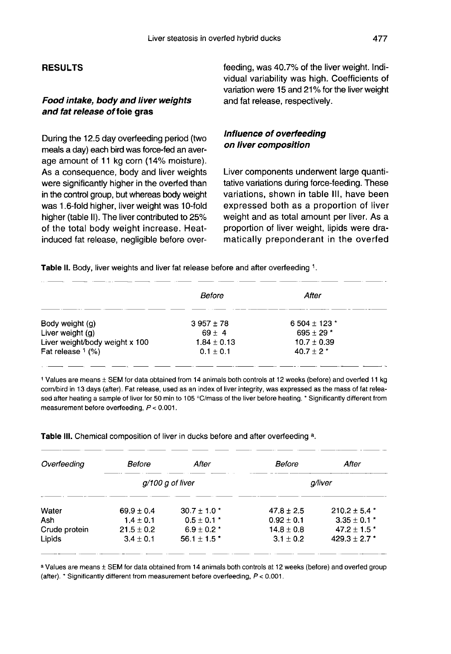# RESULTS

# Food intake, body and liver weights and fat release of foie gras

During the 12.5 day overfeeding period (two meals a day) each bird was force-fed an average amount of 11 kg corn (14% moisture). As a consequence, body and liver weights were significantly higher in the overfed than in the control group, but whereas body weight was 1.6-fold higher, liver weight was 10-fold higher (table 11). The liver contributed to 25% of the total body weight increase. Heatinduced fat release, negligible before overfeeding, was 40.7% of the liver weight. Individual variability was high. Coefficients of variation were 15 and 21% for the liver weight and fat release, respectively.

# Influence of overfeeding on liver composition

Liver components underwent large quantitative variations during force-feeding. These variations, shown in table III, have been expressed both as a proportion of liver weight and as total amount per liver. As a proportion of liver weight, lipids were dramatically preponderant in the overfed

Table II. Body, liver weights and liver fat release before and after overfeeding 1.

|                                | Before          | After           |  |
|--------------------------------|-----------------|-----------------|--|
| Body weight (g)                | $3.957 \pm 78$  | 6 504 ± 123 $*$ |  |
| Liver weight (g)               | $69 \pm 4$      | $695 \pm 29$ *  |  |
| Liver weight/body weight x 100 | $1.84 \pm 0.13$ | $10.7 \pm 0.39$ |  |
| Fat release $1$ (%)            | $0.1 \pm 0.1$   | $40.7 \pm 2$ *  |  |

1 Values are means ± SEM for data obtained from 14 animals both controls at 12 weeks (before) and overfed 11 kg corn/bird in 13 days (after). Fat release, used as an index of liver integrity, was expressed as the mass of fat released after heating a sample of liver for 50 min to 105 °C/mass of the liver before heating. \* Significantly different from measurement before overfeeding,  $P < 0.001$ .

Table III. Chemical composition of liver in ducks before and after overfeeding a.

| Overfeeding   | Before         | After                     | Before         | After             |
|---------------|----------------|---------------------------|----------------|-------------------|
|               |                | $q/100q$ of liver         |                | a/liver           |
| Water         | $69.9 + 0.4$   | $30.7 + 1.0$ *            | $47.8 \pm 2.5$ | $210.2 \pm 5.4$ * |
| Ash           | $1.4 \pm 0.1$  | $0.5 \pm 0.1$ *           | $0.92 \pm 0.1$ | $3.35 \pm 0.1$ *  |
| Crude protein | $21.5 \pm 0.2$ | $6.9 \pm 0.2$ *           | $14.8 \pm 0.8$ | $47.2 \pm 1.5$ *  |
| Lipids        | $3.4 + 0.1$    | $56.1 + 1.5$ <sup>*</sup> | $3.1 + 0.2$    | $429.3 \pm 2.7$ * |

a Values are means ± SEM for data obtained from 14 animals both controls at 12 weeks (before) and overfed group (after). \* Significantly different from measurement before overfeeding, P < 0.001.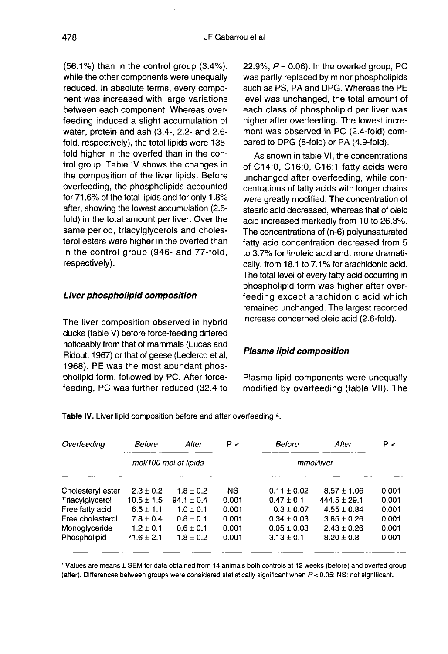$(56.1\%)$  than in the control group  $(3.4\%)$ . while the other components were unequally reduced. In absolute terms, every component was increased with large variations between each component. Whereas overfeeding induced a slight accumulation of water, protein and ash (3.4-, 2.2- and 2.6 fold, respectively), the total lipids were 138 fold higher in the overfed than in the control group. Table IV shows the changes in the composition of the liver lipids. Before overfeeding, the phospholipids accounted for 71.6% of the total lipids and for only 1.8% after, showing the lowest accumulation (2.6 fold) in the total amount per liver. Over the same period, triacylglycerols and cholesterol esters were higher in the overfed than in the control group (946- and 77-fold, respectively).

# Liver phospholipid composition

The liver composition observed in hybrid ducks (table V) before force-feeding differed noticeably from that of mammals (Lucas and Ridout, 1967) or that of geese (Leclercq et al, 1968). PE was the most abundant phospholipid form, followed by PC. After forcefeeding, PC was further reduced (32.4 to 22.9%,  $P = 0.06$ ). In the overfed group, PC was partly replaced by minor phospholipids such as PS, PA and DPG. Whereas the PE level was unchanged, the total amount of each class of phospholipid per liver was higher after overfeeding. The lowest increment was observed in PC (2.4-fold) compared to DPG (8-fold) or PA (4.9-fold).

As shown in table VI, the concentrations of C14:0, C16:0, C16:1 fatty acids were unchanged after overfeeding, while concentrations of fatty acids with longer chains were greatly modified. The concentration of stearic acid decreased, whereas that of oleic acid increased markedly from 10 to 26.3%. The concentrations of (n-6) polyunsaturated fatty acid concentration decreased from 5 to 3.7% for linoleic acid and, more dramatically, from 18.1 to 7.1 % for arachidonic acid. The total level of every fatty acid occurring in phospholipid form was higher after overfeeding except arachidonic acid which remained unchanged. The largest recorded increase concerned oleic acid (2.6-fold).

# Plasma lipid composition

Plasma lipid components were unequally modified by overfeeding (table Vil). The

| Overfeeding       | Before         | After                 | P<    | Before          | After            | P <   |
|-------------------|----------------|-----------------------|-------|-----------------|------------------|-------|
|                   |                | mol/100 mol of lipids |       |                 | mmol/liver       |       |
| Cholesteryl ester | $2.3 + 0.2$    | $1.8 + 0.2$           | NS.   | $0.11 \pm 0.02$ | $8.57 \pm 1.06$  | 0.001 |
| Triacylglycerol   | $10.5 \pm 1.5$ | $94.1 \pm 0.4$        | 0.001 | $0.47 \pm 0.1$  | $444.5 \pm 29.1$ | 0.001 |
| Free fatty acid   | $6.5 \pm 1.1$  | $1.0 \pm 0.1$         | 0.001 | $0.3 \pm 0.07$  | $4.55 \pm 0.84$  | 0.001 |
| Free cholesterol  | $7.8 + 0.4$    | $0.8 + 0.1$           | 0.001 | $0.34 \pm 0.03$ | $3.85 + 0.26$    | 0.001 |
| Monoglyceride     | $1.2 \pm 0.1$  | $0.6 \pm 0.1$         | 0.001 | $0.05 \pm 0.03$ | $2.43 \pm 0.26$  | 0.001 |
| Phospholipid      | $71.6 \pm 2.1$ | $1.8 \pm 0.2$         | 0.001 | $3.13 \pm 0.1$  | $8.20 \pm 0.8$   | 0.001 |

Table IV. Liver lipid composition before and after overfeeding a.

1 Values are means ± SEM for data obtained from 14 animals both controls at 12 weeks (before) and overfed group (after). Differences between groups were considered statistically significant when P < 0.05; NS: not significant.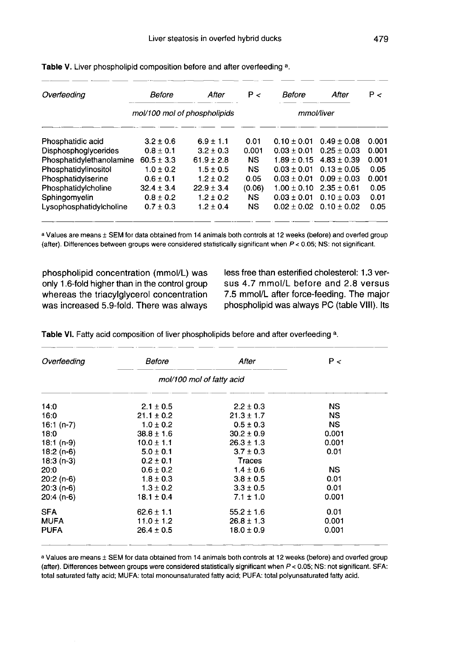| Overteeding              | Before        | After                        | P<        | Before          | After           | P<    |
|--------------------------|---------------|------------------------------|-----------|-----------------|-----------------|-------|
|                          |               | mol/100 mol of phospholipids |           |                 | mmol/liver      |       |
| Phosphatidic acid        | $3.2 \pm 0.6$ | $6.9 \pm 1.1$                | 0.01      | $0.10 \pm 0.01$ | $0.49 + 0.08$   | 0.001 |
| Disphosphoglycerides     | $0.8 + 0.1$   | $3.2 + 0.3$                  | 0.001     | $0.03 + 0.01$   | $0.25 + 0.03$   | 0.001 |
| Phosphatidylethanolamine | $60.5 + 3.3$  | $61.9 + 2.8$                 | <b>NS</b> | $1.89 \pm 0.15$ | $4.83 + 0.39$   | 0.001 |
| Phosphatidylinositol     | $1.0 \pm 0.2$ | $1.5 \pm 0.5$                | <b>NS</b> | $0.03 \pm 0.01$ | $0.13 \pm 0.05$ | 0.05  |
| Phosphatidylserine       | $0.6 \pm 0.1$ | $1.2 \pm 0.2$                | 0.05      | $0.03 \pm 0.01$ | $0.09 \pm 0.03$ | 0.001 |
| Phosphatidylcholine      | $32.4 + 3.4$  | $22.9 \pm 3.4$               | (0.06)    | $1.00 \pm 0.10$ | $2.35 + 0.61$   | 0.05  |
| Sphingomyelin            | $0.8 + 0.2$   | $1.2 \pm 0.2$                | <b>NS</b> | $0.03 + 0.01$   | $0.10 + 0.03$   | 0.01  |
| Lysophosphatidylcholine  | $0.7 + 0.3$   | $1.2 \pm 0.4$                | <b>NS</b> | $0.02 + 0.02$   | $0.10 + 0.02$   | 0.05  |

Table V. Liver phospholipid composition before and after overfeeding a.

a Values are means ± SEM for data obtained from 14 animals both controls at 12 weeks (before) and overfed group (after). Differences between groups were considered statistically significant when P < 0.05; NS: not significant.

phospholipid concentration (mmol/L) was only 1.6-fold higher than in the control group whereas the triacylglycerol concentration was increased 5.9-fold. There was always less free than esterified cholesterol: 1.3 versus 4.7 mmol/L before and 2.8 versus 7.5 mmol/L after force-feeding. The major phospholipid was always PC (table VIII). Its

| Overfeeding | Before         | After                     | P<        |
|-------------|----------------|---------------------------|-----------|
|             |                | mol/100 mol of fatty acid |           |
| 14:0        | $2.1 \pm 0.5$  | $2.2 \pm 0.3$             | NS.       |
| 16:0        | $21.1 \pm 0.2$ | $21.3 \pm 1.7$            | NS.       |
| $16:1(n-7)$ | $1.0 \pm 0.2$  | $0.5 \pm 0.3$             | NS.       |
| 18:0        | $38.8 \pm 1.6$ | $30.2 \pm 0.9$            | 0.001     |
| $18:1(n-9)$ | $10.0 \pm 1.1$ | $26.3 \pm 1.3$            | 0.001     |
| $18:2(n-6)$ | $5.0 \pm 0.1$  | $3.7 \pm 0.3$             | 0.01      |
| $18:3(n-3)$ | $0.2 \pm 0.1$  | Traces                    |           |
| 20:0        | $0.6 \pm 0.2$  | $1.4 \pm 0.6$             | <b>NS</b> |
| $20:2(n-6)$ | $1.8 \pm 0.3$  | $3.8 \pm 0.5$             | 0.01      |
| $20:3(n-6)$ | $1.3 \pm 0.2$  | $3.3 \pm 0.5$             | 0.01      |
| $20:4(n-6)$ | $18.1 \pm 0.4$ | $7.1 \pm 1.0$             | 0.001     |
| <b>SFA</b>  | $62.6 \pm 1.1$ | $55.2 \pm 1.6$            | 0.01      |
| <b>MUFA</b> | $11.0 \pm 1.2$ | $26.8 \pm 1.3$            | 0.001     |
| <b>PUFA</b> | $26.4 \pm 0.5$ | $18.0 \pm 0.9$            | 0.001     |

Table VI. Fatty acid composition of liver phospholipids before and after overfeeding a.

a Values are means ± SEM for data obtained from 14 animals both controls at 12 weeks (before) and overfed group (after). Differences between groups were considered statistically significant when P < 0.05; NS: not significant. SFA: total saturated fatty acid; MUFA: total monounsaturated fatty acid; PUFA: total polyunsaturated fatty acid.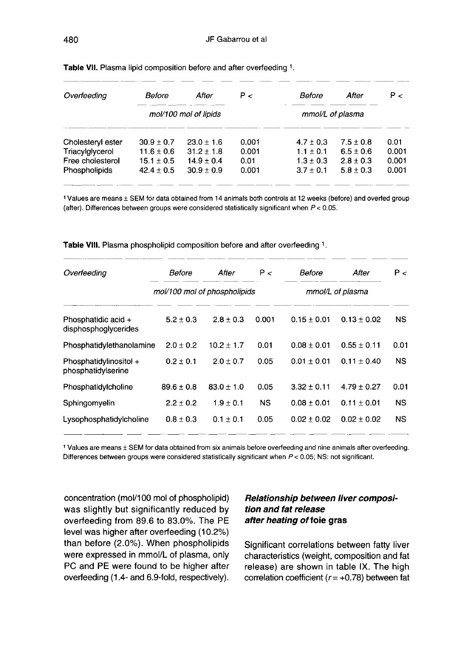| Overfeeding       | Before         | After                 | P<    | Before           | After         | P<    |
|-------------------|----------------|-----------------------|-------|------------------|---------------|-------|
|                   |                | mol/100 mol of lipids |       | mmol/L of plasma |               |       |
| Cholesteryl ester | $30.9 \pm 0.7$ | $23.0 \pm 1.6$        | 0.001 | $4.7 \pm 0.3$    | $7.5 \pm 0.8$ | 0.01  |
| Triacylglycerol   | $11.6 \pm 0.6$ | $31.2 \pm 1.8$        | 0.001 | $1.1 \pm 0.1$    | $6.5 \pm 0.6$ | 0.001 |
| Free cholesterol  | $15.1 \pm 0.5$ | $14.9 + 0.4$          | 0.01  | $1.3 \pm 0.3$    | $2.8 + 0.3$   | 0.001 |
| Phospholipids     | $42.4 \pm 0.5$ | $30.9 \pm 0.9$        | 0.001 | $3.7 \pm 0.1$    | $5.8 \pm 0.3$ | 0.001 |
|                   |                |                       |       |                  |               |       |

Table VII. Plasma lipid composition before and after overfeeding 1.

1 Values are means ± SEM for data obtained from 14 animals both controls at 12 weeks (before) and overfed group (after). Differences between groups were considered statistically significant when  $P < 0.05$ .

| Overfeeding                                  | Before        | After                        | P <       | Before          | After            | P <       |
|----------------------------------------------|---------------|------------------------------|-----------|-----------------|------------------|-----------|
|                                              |               | mol/100 mol of phospholipids |           |                 | mmol/L of plasma |           |
| Phosphatidic acid +<br>disphosphoglycerides  | $5.2 \pm 0.3$ | $2.8 + 0.3$                  | 0.001     | $0.15 + 0.01$   | $0.13 + 0.02$    | NS.       |
| Phosphatidylethanolamine                     | $2.0 + 0.2$   | $10.2 + 1.7$                 | 0.01      | $0.08 + 0.01$   | $0.55 \pm 0.11$  | 0.01      |
| Phosphatidylinositol +<br>phosphatidylserine | $0.2 \pm 0.1$ | $2.0 + 0.7$                  | 0.05      | $0.01 + 0.01$   | $0.11 \pm 0.40$  | NS.       |
| Phosphatidylcholine                          | $89.6 + 0.8$  | $83.0 + 1.0$                 | 0.05      | $3.32 + 0.11$   | $4.79 + 0.27$    | 0.01      |
| Sphingomyelin                                | $2.2 \pm 0.2$ | $1.9 \pm 0.1$                | <b>NS</b> | $0.08 \pm 0.01$ | $0.11 \pm 0.01$  | <b>NS</b> |
| Lysophosphatidylcholine                      | $0.8 \pm 0.3$ | $0.1 \pm 0.1$                | 0.05      | $0.02 + 0.02$   | $0.02 + 0.02$    | <b>NS</b> |

Table VIII. Plasma phospholipid composition before and after overfeeding 1.

1 Values are means ± SEM for data obtained from six animals before overfeeding and nine animals after overfeeding. Differences between groups were considered statistically significant when P < 0.05; NS: not significant.

concentration (mol/100 mol of phospholipid) was slightly but significantly reduced by overfeeding from 89.6 to 83.0%. The PE level was higher after overfeeding (10.2%) than before (2.0%). When phospholipids were expressed in mmol/L of plasma, only PC and PE were found to be higher after overfeeding (1.4- and 6.9-fold, respectively).

# Relationship between liver composition and fat release after heating of foie gras

Significant correlations between fatty liver characteristics (weight, composition and fat release) are shown in table IX. The high correlation coefficient ( $r = +0.78$ ) between fat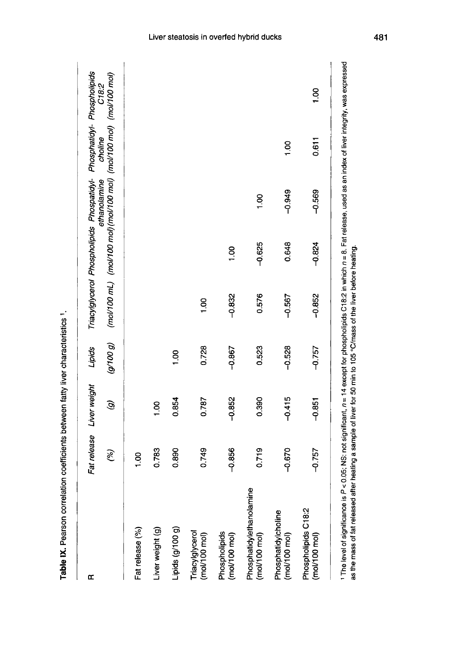| œ                                              | (%)             | Fat release Liver weight<br>G | (9100g)<br>Lipids |          | Triacylglycerol Phospholipids Phospatidyl- Phosphatidyl- Phospholipids<br>(mol/100 mL) (mol/100 mol)(mol/100 mol) (mol/100 mol) (mol/100 mol) | ethanolamine   | choline | C18:2 |
|------------------------------------------------|-----------------|-------------------------------|-------------------|----------|-----------------------------------------------------------------------------------------------------------------------------------------------|----------------|---------|-------|
| Fat release (%)                                | $\frac{8}{100}$ |                               |                   |          |                                                                                                                                               |                |         |       |
| iver weight (g)                                | 0.783           | $\frac{8}{1}$                 |                   |          |                                                                                                                                               |                |         |       |
| Lipids (g/100 g)                               | 0.890           | 0.854                         | $\frac{8}{1}$     |          |                                                                                                                                               |                |         |       |
| Triacylglycerol<br>(mol/100 mol)               | 0.749           | 0.787                         | 0.728             | 001      |                                                                                                                                               |                |         |       |
| Phospholipids<br>(mol/100 mol)                 | $-0.856$        | $-0.852$                      | $-0.867$          | $-0.832$ | $\frac{8}{100}$                                                                                                                               |                |         |       |
| mine<br>Phosphatidylethanolar<br>(mal/100 mal) | 0.719           | 0.390                         | 0.523             | 0.576    | $-0.625$                                                                                                                                      | $\frac{8}{10}$ |         |       |
| Phosphatidylcholine<br>(mol/100 mol)           | $-0.670$        | $-0.415$                      | $-0.528$          | $-0.567$ | 0.648                                                                                                                                         | $-0.949$       | 001     |       |
| Phospholipids C18:2<br>$(mol/100 \text{ mol})$ | $-0.757$        | $-0.851$                      | $-0.757$          | $-0.852$ | $-0.824$                                                                                                                                      | $-0.569$       | 0.611   | 00.1  |

Table IX. Pearson correlation coefficients between fatty liver characteristics 1.

481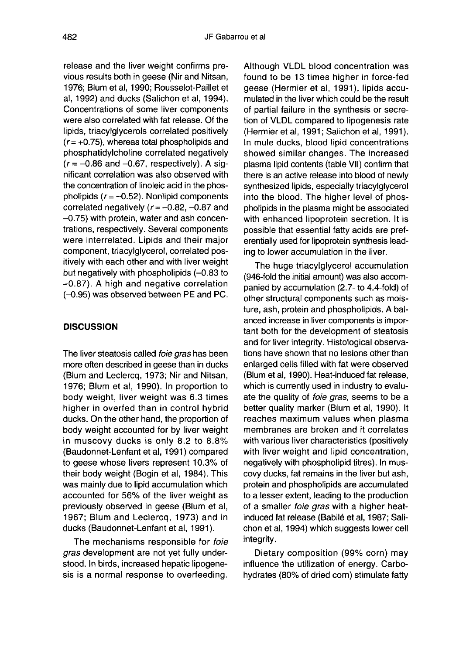release and the liver weight confirms previous results both in geese (Nir and Nitsan, 1976; Blum et al, 1990; Rousselot-Paillet et al, 1992) and ducks (Salichon et al, 1994). Concentrations of some liver components were also correlated with fat release. Of the lipids, triacylglycerols correlated positively  $(r= +0.75)$ , whereas total phospholipids and phosphatidylcholine correlated negatively  $(r = -0.86$  and  $-0.67$ , respectively). A significant correlation was also observed with the concentration of linoleic acid in the phospholipids  $(r = -0.52)$ . Nonlipid components corr  $(r = -0.86$  and  $-0.67$ , respectively). A significant correlation was also observed with the concentration of linoleic acid in the phoscorrelated negatively ( $r=-0.82, -0.87$  and - 0.75) with protein, water and ash concentrations, respectively. Several components were interrelated. Lipids and their major component, triacylglycerol, correlated positively with each other and with liver weight but negatively with phospholipids  $(-0.83 \text{ to }$ -0.87). A high and negative correlation (-0.95) was observed between PE and PC.

# **DISCUSSION**

The liver steatosis called foie gras has been more often described in geese than in ducks (Blum and Leclercq, 1973; Nir and Nitsan, 1976; Blum et al, 1990). In proportion to body weight, liver weight was 6.3 times higher in overfed than in control hybrid ducks. On the other hand, the proportion of body weight accounted for by liver weight in muscovy ducks is only 8.2 to 8.8% (Baudonnet-Lenfant et al, 1991) compared to geese whose livers represent 10.3% of their body weight (Bogin et al, 1984). This was mainly due to lipid accumulation which accounted for 56% of the liver weight as previously observed in geese (Blum et al, 1967; Blum and Leclercq, 1973) and in ducks (Baudonnet-Lenfant et al, 1991).

The mechanisms responsible for foie gras development are not yet fully understood. In birds, increased hepatic lipogenesis is a normal response to overfeeding.

Although VLDL blood concentration was found to be 13 times higher in force-fed geese (Hermier et al, 1991), lipids accumulated in the liver which could be the result of partial failure in the synthesis or secretion of VLDL compared to lipogenesis rate (Hermier et al, 1991; Salichon et al, 1991). In mule ducks, blood lipid concentrations showed similar changes. The increased plasma lipid contents (table VII) confirm that there is an active release into blood of newly synthesized lipids, especially triacylglycerol into the blood. The higher level of phospholipids in the plasma might be associated with enhanced lipoprotein secretion. It is possible that essential fatty acids are preferentially used for lipoprotein synthesis leading to lower accumulation in the liver.

The huge triacylglycerol accumulation (946-fold the initial amount) was also accompanied by accumulation (2.7- to 4.4-fold) of other structural components such as moisture, ash, protein and phospholipids. A balanced increase in liver components is important both for the development of steatosis and for liver integrity. Histological observations have shown that no lesions other than enlarged cells filled with fat were observed (Blum et al, 1990). Heat-induced fat release, which is currently used in industry to evaluate the quality of foie gras, seems to be a better quality marker (Blum et ai, 1990). It reaches maximum values when plasma membranes are broken and it correlates with various liver characteristics (positively with liver weight and lipid concentration, negatively with phospholipid titres). In muscovy ducks, fat remains in the liver but ash, protein and phospholipids are accumulated to a lesser extent, leading to the production of a smaller foie gras with a higher heatinduced fat release (Babilé et al, 1987; Salichon et al, 1994) which suggests lower cell integrity.

Dietary composition (99% corn) may influence the utilization of energy. Carbohydrates (80% of dried corn) stimulate fatty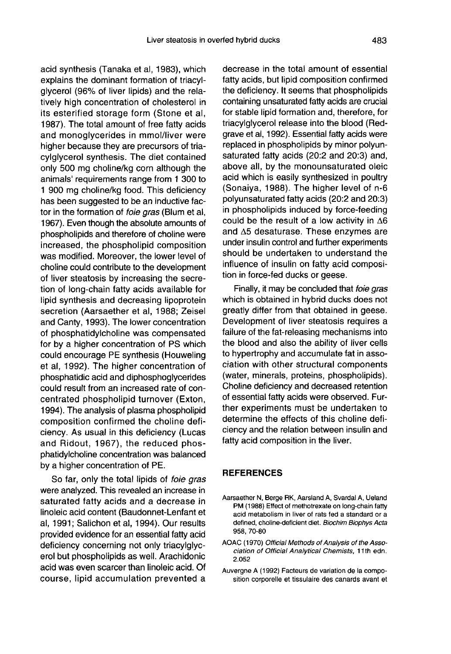acid synthesis (Tanaka et al, 1983), which explains the dominant formation of triacylglycerol (96% of liver lipids) and the relatively high concentration of cholesterol in its esterified storage form (Stone et ai, 1987). The total amount of free fatty acids and monoglycerides in mmol/liver were higher because they are precursors of triacylglycerol synthesis. The diet contained only 500 mg choline/kg corn although the animals' requirements range from 1 300 to 1 900 mg choline/kg food. This deficiency has been suggested to be an inductive factor in the formation of foie gras (Blum et al, 1967). Even though the absolute amounts of phospholipids and therefore of choline were increased, the phospholipid composition was modified. Moreover, the lower level of choline could contribute to the development of liver steatosis by increasing the secretion of long-chain fatty acids available for lipid synthesis and decreasing lipoprotein secretion (Aarsaether et al, 1988; Zeisel and Canty, 1993). The lower concentration of phosphatidylcholine was compensated for by a higher concentration of PS which could encourage PE synthesis (Houweling et al, 1992). The higher concentration of phosphatidic acid and diphosphoglycerides could result from an increased rate of concentrated phospholipid turnover (Exton, 1994). The analysis of plasma phospholipid composition confirmed the choline deficiency. As usual in this deficiency (Lucas and Ridout, 1967), the reduced phosphatidylcholine concentration was balanced by a higher concentration of PE.

So far, only the total lipids of *foie gras* were analyzed. This revealed an increase in saturated fatty acids and a decrease in linoleic acid content (Baudonnet-Lenfant et al, 1991; Salichon et al, 1994). Our results provided evidence for an essential fatty acid deficiency concerning not only triacylglycerol but phospholipids as well. Arachidonic acid was even scarcer than linoleic acid. Of course, lipid accumulation prevented a decrease in the total amount of essential fatty acids, but lipid composition confirmed the deficiency. It seems that phospholipids containing unsaturated fatty acids are crucial for stable lipid formation and, therefore, for triacylglycerol release into the blood (Redgrave et al, 1992). Essential fatty acids were replaced in phospholipids by minor polyunsaturated fatty acids (20:2 and 20:3) and, above all, by the monounsaturated oleic acid which is easily synthesized in poultry (Sonaiya, 1988). The higher level of n-6 polyunsaturated fatty acids (20:2 and 20:3) in phospholipids induced by force-feeding could be the result of a low activity in  $\Delta 6$ and A5 desaturase. These enzymes are under insulin control and further experiments should be undertaken to understand the influence of insulin on fatty acid composition in force-fed ducks or geese.

Finally, it may be concluded that *foie gras* which is obtained in hybrid ducks does not greatly differ from that obtained in geese. Development of liver steatosis requires a failure of the fat-releasing mechanisms into the blood and also the ability of liver cells to hypertrophy and accumulate fat in association with other structural components (water, minerals, proteins, phospholipids). Choline deficiency and decreased retention of essential fatty acids were observed. Further experiments must be undertaken to determine the effects of this choline deficiency and the relation between insulin and fatty acid composition in the liver.

#### REFERENCES

- Aarsaether N, Berge RK, Aarsland A, Svardal A, Ueland PM (1988) Effect of methotrexate on long-chain fatty acid metabolism in liver of rats fed a standard or a defined, choline-deficient diet. Biochim Biophys Acta 958, 70-80
- AOAC (1970) Official Methods of Analysis of the Association of Official Analytical Chemists, 11 th edn. 2.052
- Auvergne A (1992) Facteurs de variation de la composition corporelle et tissulaire des canards avant et